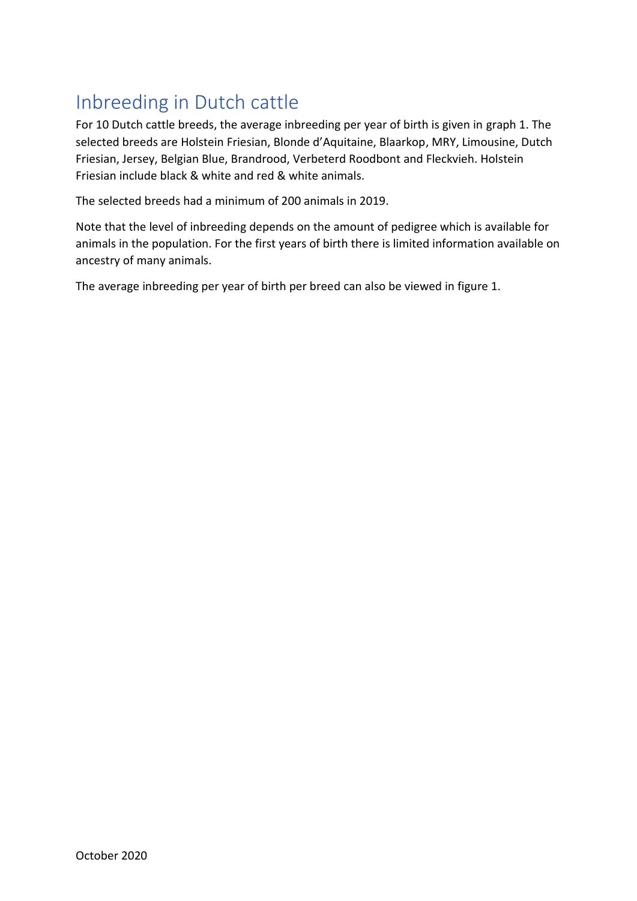## Inbreeding in Dutch cattle

For 10 Dutch cattle breeds, the average inbreeding per year of birth is given in graph 1. The selected breeds are Holstein Friesian, Blonde d'Aquitaine, Blaarkop, MRY, Limousine, Dutch Friesian, Jersey, Belgian Blue, Brandrood, Verbeterd Roodbont and Fleckvieh. Holstein Friesian include black & white and red & white animals.

The selected breeds had a minimum of 200 animals in 2019.

Note that the level of inbreeding depends on the amount of pedigree which is available for animals in the population. For the first years of birth there is limited information available on ancestry of many animals.

The average inbreeding per year of birth per breed can also be viewed in figure 1.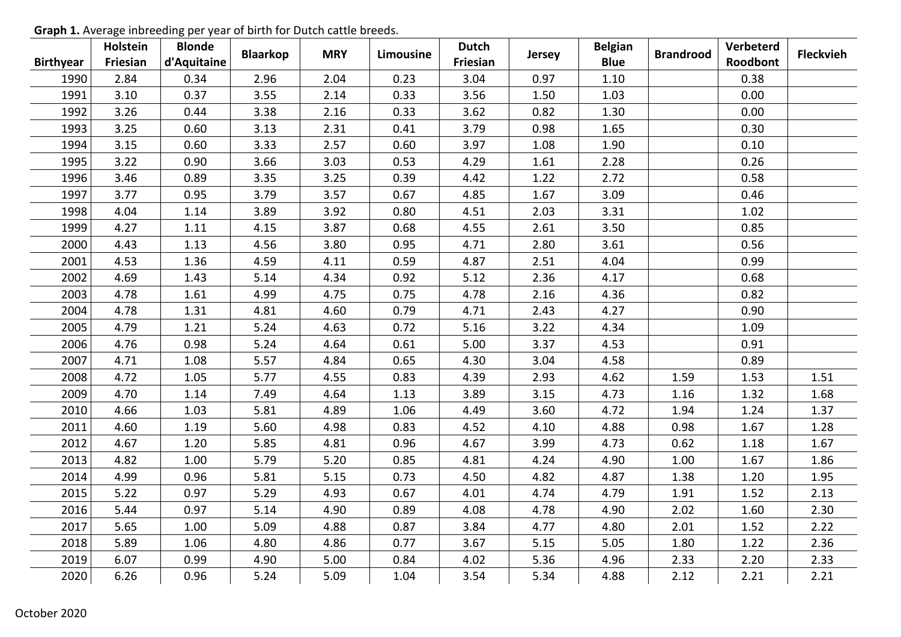|                  | Holstein | <b>Blonde</b> | <b>Blaarkop</b> | <b>MRY</b> | Limousine | <b>Dutch</b> | <b>Jersey</b> | <b>Belgian</b> | <b>Brandrood</b> | Verbeterd | <b>Fleckvieh</b> |
|------------------|----------|---------------|-----------------|------------|-----------|--------------|---------------|----------------|------------------|-----------|------------------|
| <b>Birthyear</b> | Friesian | d'Aquitaine   |                 |            |           | Friesian     |               | <b>Blue</b>    |                  | Roodbont  |                  |
| 1990             | 2.84     | 0.34          | 2.96            | 2.04       | 0.23      | 3.04         | 0.97          | 1.10           |                  | 0.38      |                  |
| 1991             | 3.10     | 0.37          | 3.55            | 2.14       | 0.33      | 3.56         | 1.50          | 1.03           |                  | 0.00      |                  |
| 1992             | 3.26     | 0.44          | 3.38            | 2.16       | 0.33      | 3.62         | 0.82          | 1.30           |                  | 0.00      |                  |
| 1993             | 3.25     | 0.60          | 3.13            | 2.31       | 0.41      | 3.79         | 0.98          | 1.65           |                  | 0.30      |                  |
| 1994             | 3.15     | 0.60          | 3.33            | 2.57       | 0.60      | 3.97         | 1.08          | 1.90           |                  | 0.10      |                  |
| 1995             | 3.22     | 0.90          | 3.66            | 3.03       | 0.53      | 4.29         | 1.61          | 2.28           |                  | 0.26      |                  |
| 1996             | 3.46     | 0.89          | 3.35            | 3.25       | 0.39      | 4.42         | 1.22          | 2.72           |                  | 0.58      |                  |
| 1997             | 3.77     | 0.95          | 3.79            | 3.57       | 0.67      | 4.85         | 1.67          | 3.09           |                  | 0.46      |                  |
| 1998             | 4.04     | 1.14          | 3.89            | 3.92       | 0.80      | 4.51         | 2.03          | 3.31           |                  | 1.02      |                  |
| 1999             | 4.27     | 1.11          | 4.15            | 3.87       | 0.68      | 4.55         | 2.61          | 3.50           |                  | 0.85      |                  |
| 2000             | 4.43     | 1.13          | 4.56            | 3.80       | 0.95      | 4.71         | 2.80          | 3.61           |                  | 0.56      |                  |
| 2001             | 4.53     | 1.36          | 4.59            | 4.11       | 0.59      | 4.87         | 2.51          | 4.04           |                  | 0.99      |                  |
| 2002             | 4.69     | 1.43          | 5.14            | 4.34       | 0.92      | 5.12         | 2.36          | 4.17           |                  | 0.68      |                  |
| 2003             | 4.78     | 1.61          | 4.99            | 4.75       | 0.75      | 4.78         | 2.16          | 4.36           |                  | 0.82      |                  |
| 2004             | 4.78     | 1.31          | 4.81            | 4.60       | 0.79      | 4.71         | 2.43          | 4.27           |                  | 0.90      |                  |
| 2005             | 4.79     | 1.21          | 5.24            | 4.63       | 0.72      | 5.16         | 3.22          | 4.34           |                  | 1.09      |                  |
| 2006             | 4.76     | 0.98          | 5.24            | 4.64       | 0.61      | 5.00         | 3.37          | 4.53           |                  | 0.91      |                  |
| 2007             | 4.71     | 1.08          | 5.57            | 4.84       | 0.65      | 4.30         | 3.04          | 4.58           |                  | 0.89      |                  |
| 2008             | 4.72     | 1.05          | 5.77            | 4.55       | 0.83      | 4.39         | 2.93          | 4.62           | 1.59             | 1.53      | 1.51             |
| 2009             | 4.70     | 1.14          | 7.49            | 4.64       | 1.13      | 3.89         | 3.15          | 4.73           | 1.16             | 1.32      | 1.68             |
| 2010             | 4.66     | 1.03          | 5.81            | 4.89       | 1.06      | 4.49         | 3.60          | 4.72           | 1.94             | 1.24      | 1.37             |
| 2011             | 4.60     | 1.19          | 5.60            | 4.98       | 0.83      | 4.52         | 4.10          | 4.88           | 0.98             | 1.67      | 1.28             |
| 2012             | 4.67     | 1.20          | 5.85            | 4.81       | 0.96      | 4.67         | 3.99          | 4.73           | 0.62             | 1.18      | 1.67             |
| 2013             | 4.82     | 1.00          | 5.79            | 5.20       | 0.85      | 4.81         | 4.24          | 4.90           | 1.00             | 1.67      | 1.86             |
| 2014             | 4.99     | 0.96          | 5.81            | 5.15       | 0.73      | 4.50         | 4.82          | 4.87           | 1.38             | 1.20      | 1.95             |
| 2015             | 5.22     | 0.97          | 5.29            | 4.93       | 0.67      | 4.01         | 4.74          | 4.79           | 1.91             | 1.52      | 2.13             |
| 2016             | 5.44     | 0.97          | 5.14            | 4.90       | 0.89      | 4.08         | 4.78          | 4.90           | 2.02             | 1.60      | 2.30             |
| 2017             | 5.65     | 1.00          | 5.09            | 4.88       | 0.87      | 3.84         | 4.77          | 4.80           | 2.01             | 1.52      | 2.22             |
| 2018             | 5.89     | 1.06          | 4.80            | 4.86       | 0.77      | 3.67         | 5.15          | 5.05           | 1.80             | 1.22      | 2.36             |
| 2019             | 6.07     | 0.99          | 4.90            | 5.00       | 0.84      | 4.02         | 5.36          | 4.96           | 2.33             | 2.20      | 2.33             |
| 2020             | 6.26     | 0.96          | 5.24            | 5.09       | 1.04      | 3.54         | 5.34          | 4.88           | 2.12             | 2.21      | 2.21             |

**Graph 1.** Average inbreeding per year of birth for Dutch cattle breeds.